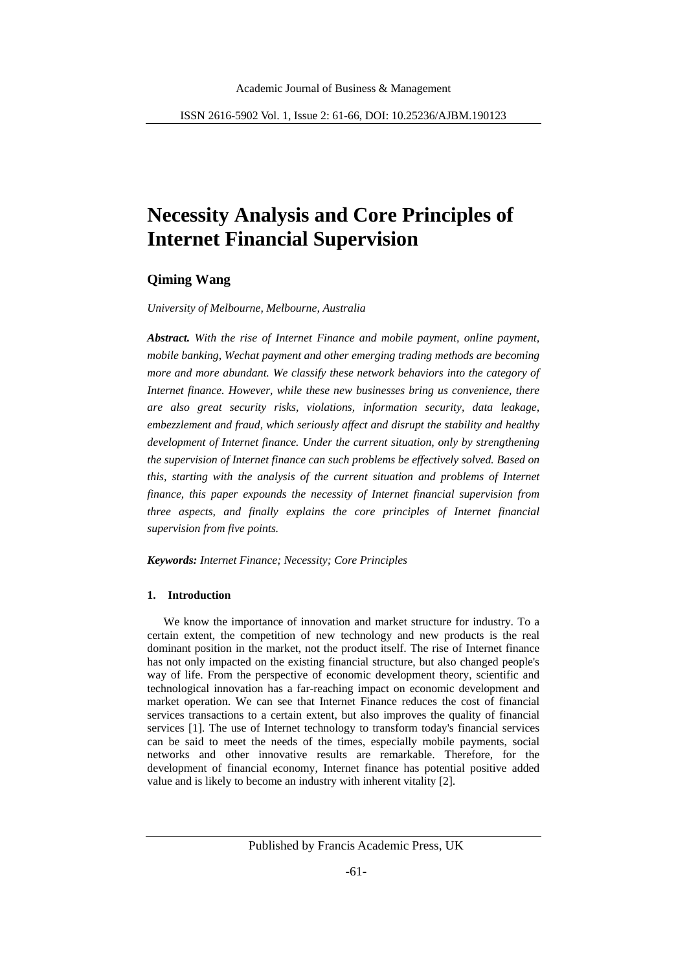# **Necessity Analysis and Core Principles of Internet Financial Supervision**

# **Qiming Wang**

*University of Melbourne, Melbourne, Australia*

*Abstract. With the rise of Internet Finance and mobile payment, online payment, mobile banking, Wechat payment and other emerging trading methods are becoming more and more abundant. We classify these network behaviors into the category of Internet finance. However, while these new businesses bring us convenience, there are also great security risks, violations, information security, data leakage, embezzlement and fraud, which seriously affect and disrupt the stability and healthy development of Internet finance. Under the current situation, only by strengthening the supervision of Internet finance can such problems be effectively solved. Based on this, starting with the analysis of the current situation and problems of Internet finance, this paper expounds the necessity of Internet financial supervision from three aspects, and finally explains the core principles of Internet financial supervision from five points.*

*Keywords: Internet Finance; Necessity; Core Principles*

#### **1. Introduction**

We know the importance of innovation and market structure for industry. To a certain extent, the competition of new technology and new products is the real dominant position in the market, not the product itself. The rise of Internet finance has not only impacted on the existing financial structure, but also changed people's way of life. From the perspective of economic development theory, scientific and technological innovation has a far-reaching impact on economic development and market operation. We can see that Internet Finance reduces the cost of financial services transactions to a certain extent, but also improves the quality of financial services [1]. The use of Internet technology to transform today's financial services can be said to meet the needs of the times, especially mobile payments, social networks and other innovative results are remarkable. Therefore, for the development of financial economy, Internet finance has potential positive added value and is likely to become an industry with inherent vitality [2].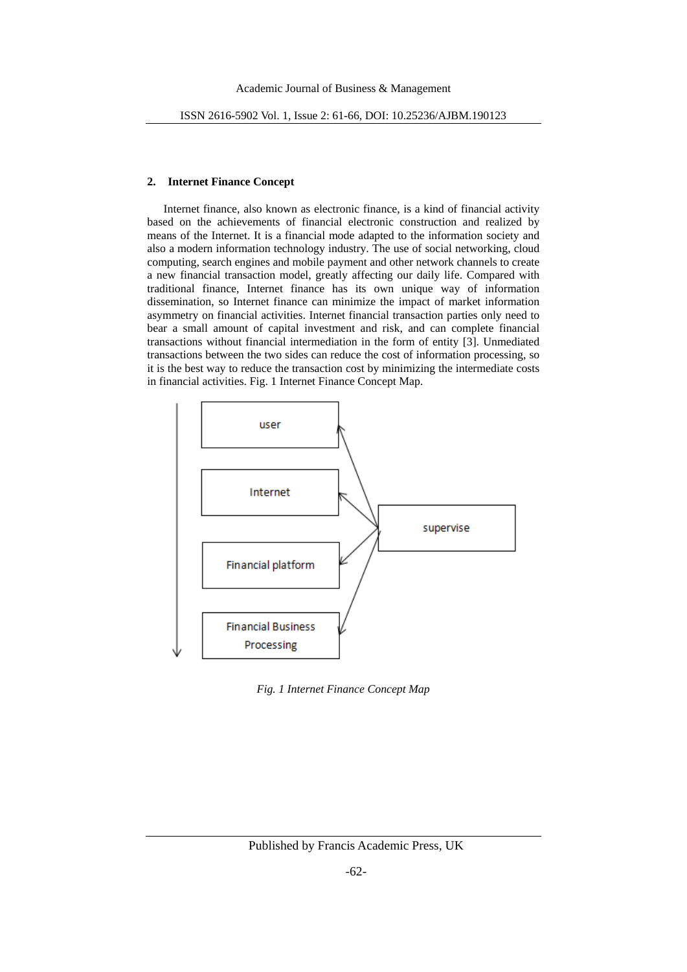# **2. Internet Finance Concept**

Internet finance, also known as electronic finance, is a kind of financial activity based on the achievements of financial electronic construction and realized by means of the Internet. It is a financial mode adapted to the information society and also a modern information technology industry. The use of social networking, cloud computing, search engines and mobile payment and other network channels to create a new financial transaction model, greatly affecting our daily life. Compared with traditional finance, Internet finance has its own unique way of information dissemination, so Internet finance can minimize the impact of market information asymmetry on financial activities. Internet financial transaction parties only need to bear a small amount of capital investment and risk, and can complete financial transactions without financial intermediation in the form of entity [3]. Unmediated transactions between the two sides can reduce the cost of information processing, so it is the best way to reduce the transaction cost by minimizing the intermediate costs in financial activities. Fig. 1 Internet Finance Concept Map.



*Fig. 1 Internet Finance Concept Map*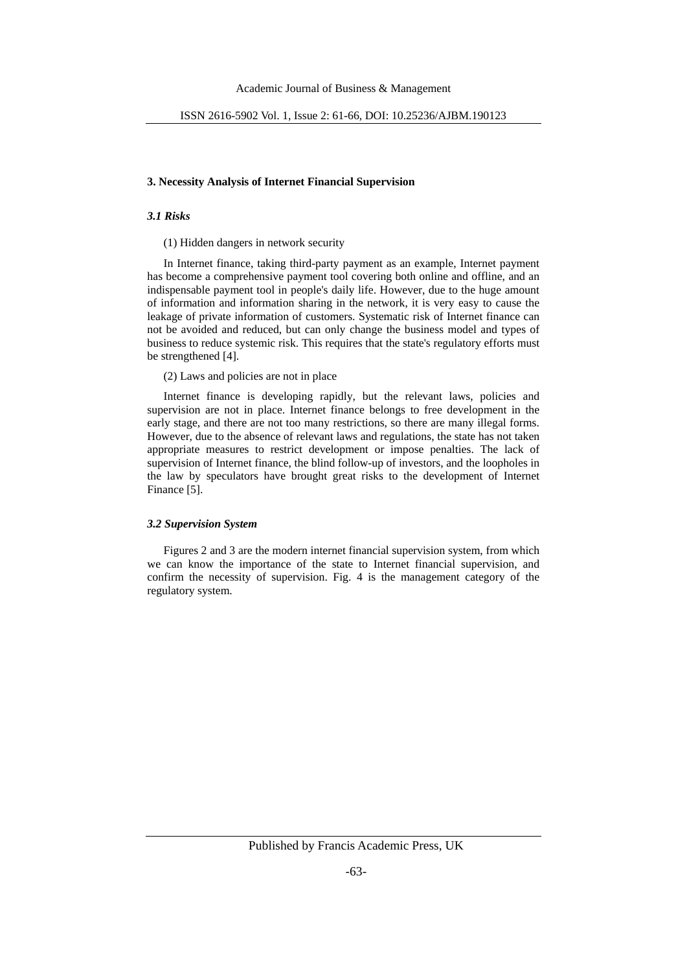# **3. Necessity Analysis of Internet Financial Supervision**

#### *3.1 Risks*

#### (1) Hidden dangers in network security

In Internet finance, taking third-party payment as an example, Internet payment has become a comprehensive payment tool covering both online and offline, and an indispensable payment tool in people's daily life. However, due to the huge amount of information and information sharing in the network, it is very easy to cause the leakage of private information of customers. Systematic risk of Internet finance can not be avoided and reduced, but can only change the business model and types of business to reduce systemic risk. This requires that the state's regulatory efforts must be strengthened [4].

### (2) Laws and policies are not in place

Internet finance is developing rapidly, but the relevant laws, policies and supervision are not in place. Internet finance belongs to free development in the early stage, and there are not too many restrictions, so there are many illegal forms. However, due to the absence of relevant laws and regulations, the state has not taken appropriate measures to restrict development or impose penalties. The lack of supervision of Internet finance, the blind follow-up of investors, and the loopholes in the law by speculators have brought great risks to the development of Internet Finance [5].

#### *3.2 Supervision System*

Figures 2 and 3 are the modern internet financial supervision system, from which we can know the importance of the state to Internet financial supervision, and confirm the necessity of supervision. Fig. 4 is the management category of the regulatory system.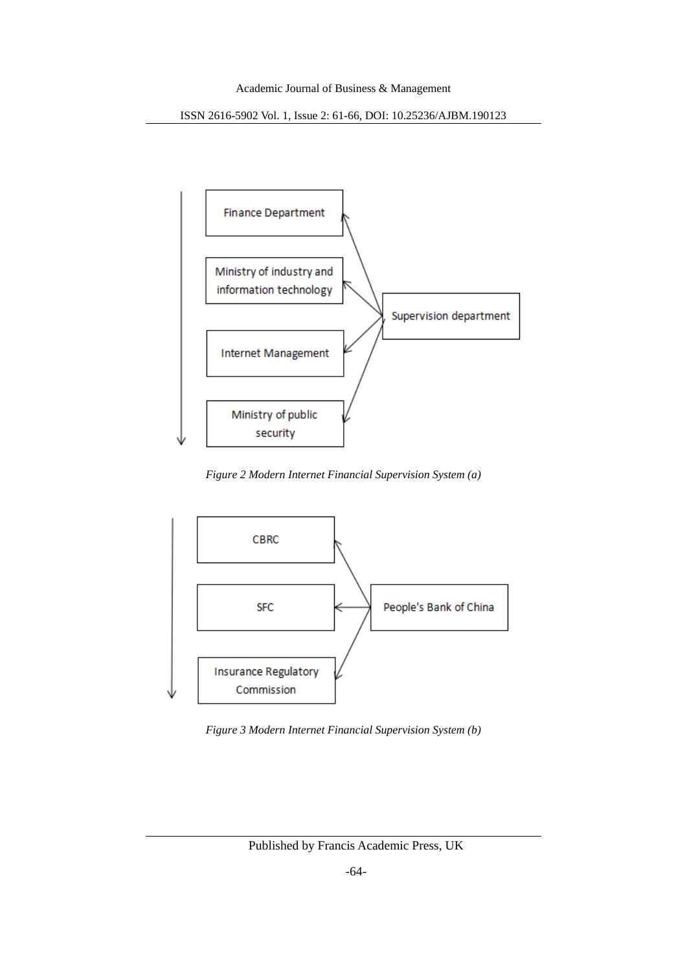ISSN 2616-5902 Vol. 1, Issue 2: 61-66, DOI: 10.25236/AJBM.190123



*Figure 2 Modern Internet Financial Supervision System (a)*



*Figure 3 Modern Internet Financial Supervision System (b)*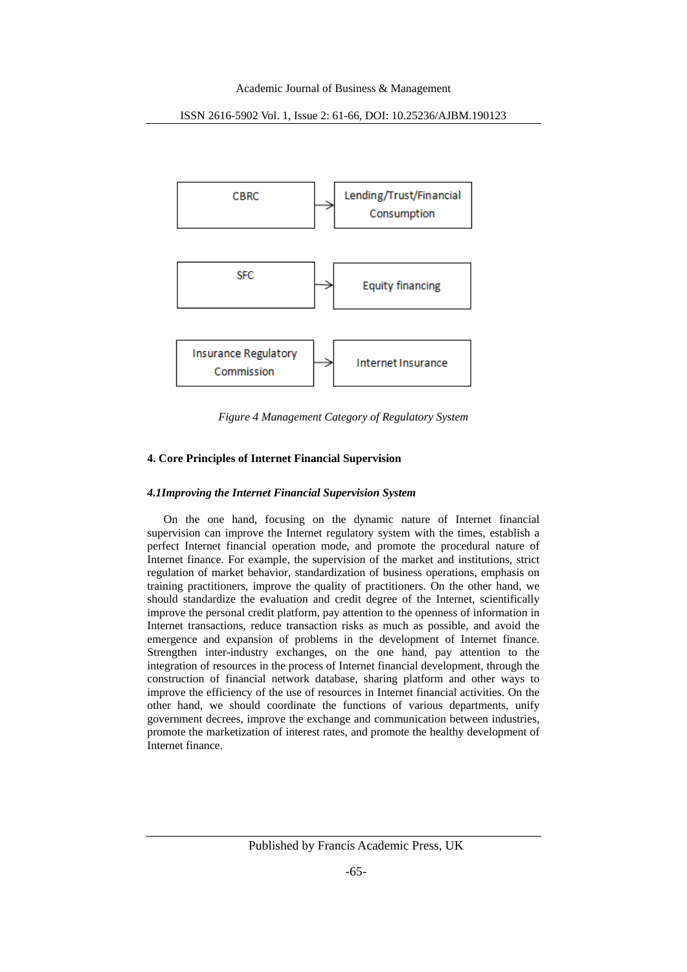ISSN 2616-5902 Vol. 1, Issue 2: 61-66, DOI: 10.25236/AJBM.190123



*Figure 4 Management Category of Regulatory System*

# **4. Core Principles of Internet Financial Supervision**

# *4.1Improving the Internet Financial Supervision System*

On the one hand, focusing on the dynamic nature of Internet financial supervision can improve the Internet regulatory system with the times, establish a perfect Internet financial operation mode, and promote the procedural nature of Internet finance. For example, the supervision of the market and institutions, strict regulation of market behavior, standardization of business operations, emphasis on training practitioners, improve the quality of practitioners. On the other hand, we should standardize the evaluation and credit degree of the Internet, scientifically improve the personal credit platform, pay attention to the openness of information in Internet transactions, reduce transaction risks as much as possible, and avoid the emergence and expansion of problems in the development of Internet finance. Strengthen inter-industry exchanges, on the one hand, pay attention to the integration of resources in the process of Internet financial development, through the construction of financial network database, sharing platform and other ways to improve the efficiency of the use of resources in Internet financial activities. On the other hand, we should coordinate the functions of various departments, unify government decrees, improve the exchange and communication between industries, promote the marketization of interest rates, and promote the healthy development of Internet finance.